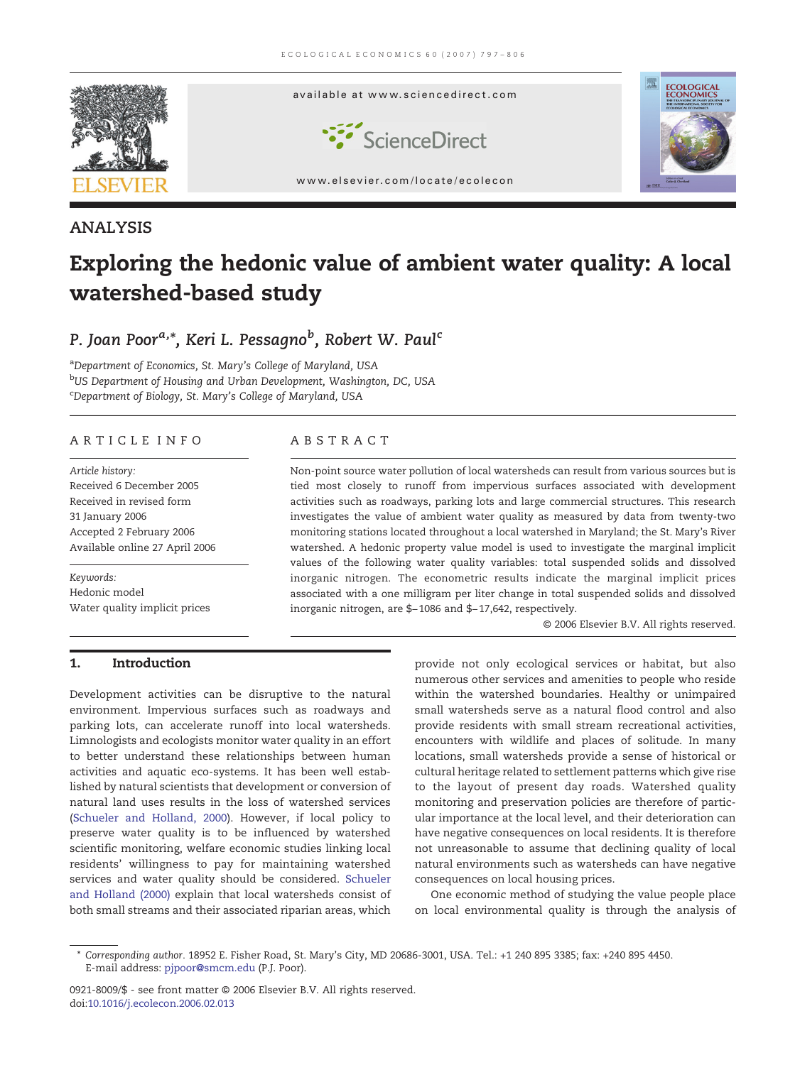

## ANALYSIS

# Exploring the hedonic value of ambient water quality: A local watershed-based study

# P. Joan Poor<sup>a,</sup>\*, Keri L. Pessagno<sup>b</sup>, Robert W. Paul<sup>c</sup>

<sup>a</sup>Department of Economics, St. Mary's College of Maryland, USA <sup>b</sup>US Department of Housing and Urban Development, Washington, DC, USA <sup>c</sup>Department of Biology, St. Mary's College of Maryland, USA

### ARTICLE INFO ABSTRACT

Article history: Received 6 December 2005 Received in revised form 31 January 2006 Accepted 2 February 2006 Available online 27 April 2006

Keywords: Hedonic model Water quality implicit prices

Non-point source water pollution of local watersheds can result from various sources but is tied most closely to runoff from impervious surfaces associated with development activities such as roadways, parking lots and large commercial structures. This research investigates the value of ambient water quality as measured by data from twenty-two monitoring stations located throughout a local watershed in Maryland; the St. Mary's River watershed. A hedonic property value model is used to investigate the marginal implicit values of the following water quality variables: total suspended solids and dissolved inorganic nitrogen. The econometric results indicate the marginal implicit prices associated with a one milligram per liter change in total suspended solids and dissolved inorganic nitrogen, are \$−1086 and \$−17,642, respectively.

© 2006 Elsevier B.V. All rights reserved.

#### 1. Introduction

Development activities can be disruptive to the natural environment. Impervious surfaces such as roadways and parking lots, can accelerate runoff into local watersheds. Limnologists and ecologists monitor water quality in an effort to better understand these relationships between human activities and aquatic eco-systems. It has been well established by natural scientists that development or conversion of natural land uses results in the loss of watershed services [\(Schueler and Holland, 2000](#page-9-0)). However, if local policy to preserve water quality is to be influenced by watershed scientific monitoring, welfare economic studies linking local residents' willingness to pay for maintaining watershed services and water quality should be considered. [Schueler](#page-9-0) [and Holland \(2000\)](#page-9-0) explain that local watersheds consist of both small streams and their associated riparian areas, which

provide not only ecological services or habitat, but also numerous other services and amenities to people who reside within the watershed boundaries. Healthy or unimpaired small watersheds serve as a natural flood control and also provide residents with small stream recreational activities, encounters with wildlife and places of solitude. In many locations, small watersheds provide a sense of historical or cultural heritage related to settlement patterns which give rise to the layout of present day roads. Watershed quality monitoring and preservation policies are therefore of particular importance at the local level, and their deterioration can have negative consequences on local residents. It is therefore not unreasonable to assume that declining quality of local natural environments such as watersheds can have negative consequences on local housing prices.

One economic method of studying the value people place on local environmental quality is through the analysis of

<sup>⁎</sup> Corresponding author. 18952 E. Fisher Road, St. Mary's City, MD 20686-3001, USA. Tel.: +1 240 895 3385; fax: +240 895 4450. E-mail address: [pjpoor@smcm.edu](mailto:pjpoor@smcm.edu) (P.J. Poor).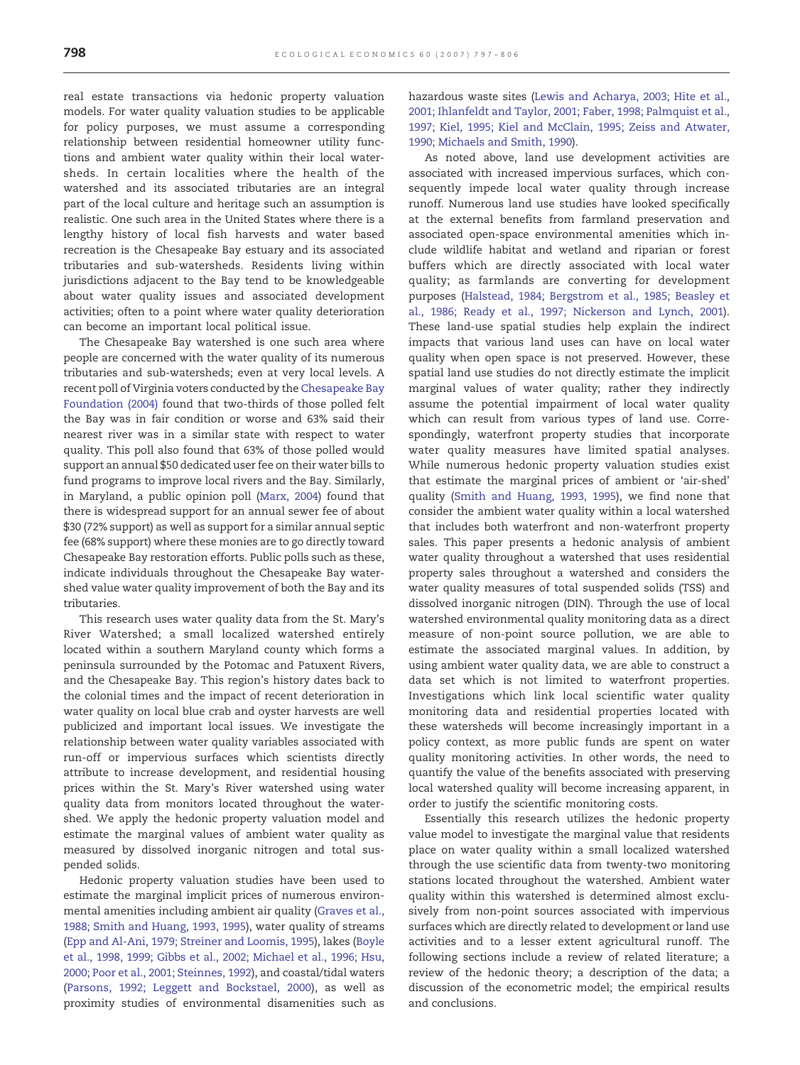real estate transactions via hedonic property valuation models. For water quality valuation studies to be applicable for policy purposes, we must assume a corresponding relationship between residential homeowner utility functions and ambient water quality within their local watersheds. In certain localities where the health of the watershed and its associated tributaries are an integral part of the local culture and heritage such an assumption is realistic. One such area in the United States where there is a lengthy history of local fish harvests and water based recreation is the Chesapeake Bay estuary and its associated tributaries and sub-watersheds. Residents living within jurisdictions adjacent to the Bay tend to be knowledgeable about water quality issues and associated development activities; often to a point where water quality deterioration can become an important local political issue.

The Chesapeake Bay watershed is one such area where people are concerned with the water quality of its numerous tributaries and sub-watersheds; even at very local levels. A recent poll of Virginia voters conducted by the [Chesapeake Bay](#page-8-0) [Foundation \(2004\)](#page-8-0) found that two-thirds of those polled felt the Bay was in fair condition or worse and 63% said their nearest river was in a similar state with respect to water quality. This poll also found that 63% of those polled would support an annual \$50 dedicated user fee on their water bills to fund programs to improve local rivers and the Bay. Similarly, in Maryland, a public opinion poll [\(Marx, 2004\)](#page-9-0) found that there is widespread support for an annual sewer fee of about \$30 (72% support) as well as support for a similar annual septic fee (68% support) where these monies are to go directly toward Chesapeake Bay restoration efforts. Public polls such as these, indicate individuals throughout the Chesapeake Bay watershed value water quality improvement of both the Bay and its tributaries.

This research uses water quality data from the St. Mary's River Watershed; a small localized watershed entirely located within a southern Maryland county which forms a peninsula surrounded by the Potomac and Patuxent Rivers, and the Chesapeake Bay. This region's history dates back to the colonial times and the impact of recent deterioration in water quality on local blue crab and oyster harvests are well publicized and important local issues. We investigate the relationship between water quality variables associated with run-off or impervious surfaces which scientists directly attribute to increase development, and residential housing prices within the St. Mary's River watershed using water quality data from monitors located throughout the watershed. We apply the hedonic property valuation model and estimate the marginal values of ambient water quality as measured by dissolved inorganic nitrogen and total suspended solids.

Hedonic property valuation studies have been used to estimate the marginal implicit prices of numerous environmental amenities including ambient air quality [\(Graves et al.,](#page-9-0) [1988; Smith and Huang, 1993, 1995](#page-9-0)), water quality of streams ([Epp and Al-Ani, 1979; Streiner and Loomis, 1995](#page-8-0)), lakes [\(Boyle](#page-8-0) [et al., 1998, 1999; Gibbs et al., 2002; Michael et al., 1996; Hsu,](#page-8-0) [2000; Poor et al., 2001; Steinnes, 1992](#page-8-0)), and coastal/tidal waters ([Parsons, 1992; Leggett and Bockstael, 2000\)](#page-9-0), as well as proximity studies of environmental disamenities such as hazardous waste sites [\(Lewis and Acharya, 2003; Hite et al.,](#page-9-0) [2001; Ihlanfeldt and Taylor, 2001; Faber, 1998; Palmquist et al.,](#page-9-0) [1997; Kiel, 1995; Kiel and McClain, 1995; Zeiss and Atwater,](#page-9-0) [1990; Michaels and Smith, 1990](#page-9-0)).

As noted above, land use development activities are associated with increased impervious surfaces, which consequently impede local water quality through increase runoff. Numerous land use studies have looked specifically at the external benefits from farmland preservation and associated open-space environmental amenities which include wildlife habitat and wetland and riparian or forest buffers which are directly associated with local water quality; as farmlands are converting for development purposes ([Halstead, 1984; Bergstrom et al., 1985; Beasley et](#page-9-0) [al., 1986; Ready et al., 1997; Nickerson and Lynch, 2001\)](#page-9-0). These land-use spatial studies help explain the indirect impacts that various land uses can have on local water quality when open space is not preserved. However, these spatial land use studies do not directly estimate the implicit marginal values of water quality; rather they indirectly assume the potential impairment of local water quality which can result from various types of land use. Correspondingly, waterfront property studies that incorporate water quality measures have limited spatial analyses. While numerous hedonic property valuation studies exist that estimate the marginal prices of ambient or 'air-shed' quality [\(Smith and Huang, 1993, 1995\)](#page-9-0), we find none that consider the ambient water quality within a local watershed that includes both waterfront and non-waterfront property sales. This paper presents a hedonic analysis of ambient water quality throughout a watershed that uses residential property sales throughout a watershed and considers the water quality measures of total suspended solids (TSS) and dissolved inorganic nitrogen (DIN). Through the use of local watershed environmental quality monitoring data as a direct measure of non-point source pollution, we are able to estimate the associated marginal values. In addition, by using ambient water quality data, we are able to construct a data set which is not limited to waterfront properties. Investigations which link local scientific water quality monitoring data and residential properties located with these watersheds will become increasingly important in a policy context, as more public funds are spent on water quality monitoring activities. In other words, the need to quantify the value of the benefits associated with preserving local watershed quality will become increasing apparent, in order to justify the scientific monitoring costs.

Essentially this research utilizes the hedonic property value model to investigate the marginal value that residents place on water quality within a small localized watershed through the use scientific data from twenty-two monitoring stations located throughout the watershed. Ambient water quality within this watershed is determined almost exclusively from non-point sources associated with impervious surfaces which are directly related to development or land use activities and to a lesser extent agricultural runoff. The following sections include a review of related literature; a review of the hedonic theory; a description of the data; a discussion of the econometric model; the empirical results and conclusions.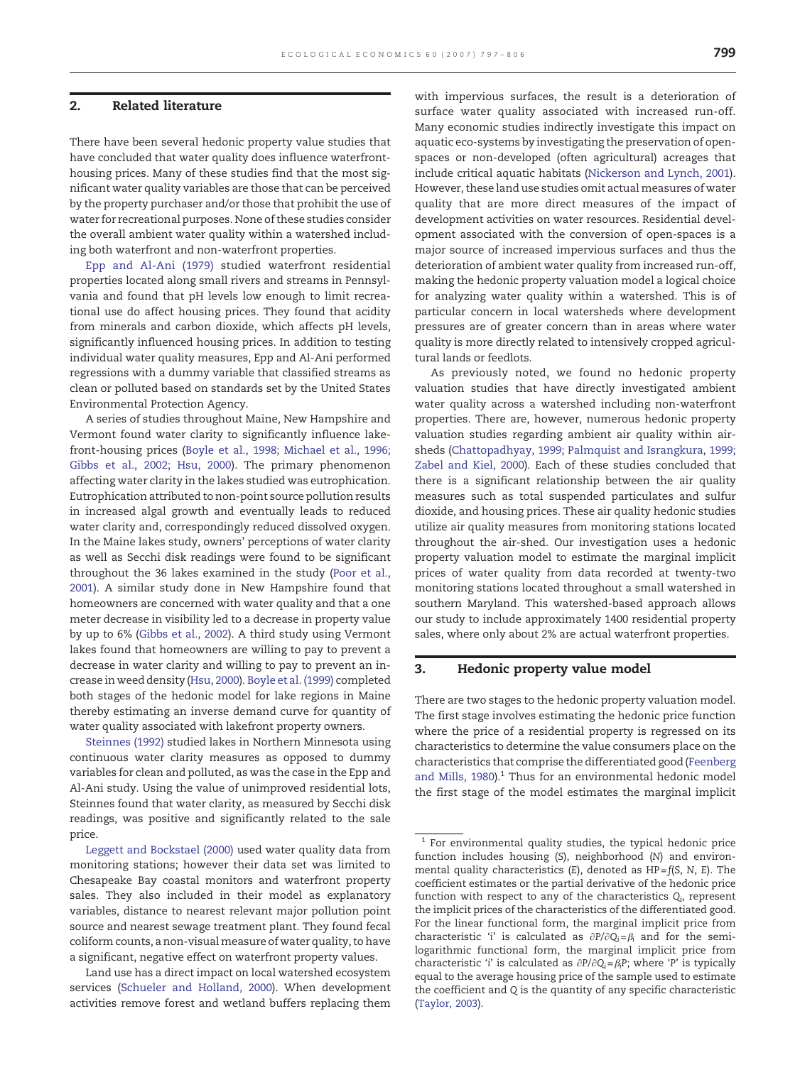#### 2. Related literature

There have been several hedonic property value studies that have concluded that water quality does influence waterfronthousing prices. Many of these studies find that the most significant water quality variables are those that can be perceived by the property purchaser and/or those that prohibit the use of water for recreational purposes. None of these studies consider the overall ambient water quality within a watershed including both waterfront and non-waterfront properties.

[Epp and Al-Ani \(1979\)](#page-8-0) studied waterfront residential properties located along small rivers and streams in Pennsylvania and found that pH levels low enough to limit recreational use do affect housing prices. They found that acidity from minerals and carbon dioxide, which affects pH levels, significantly influenced housing prices. In addition to testing individual water quality measures, Epp and Al-Ani performed regressions with a dummy variable that classified streams as clean or polluted based on standards set by the United States Environmental Protection Agency.

A series of studies throughout Maine, New Hampshire and Vermont found water clarity to significantly influence lakefront-housing prices [\(Boyle et al., 1998; Michael et al., 1996;](#page-8-0) [Gibbs et al., 2002; Hsu, 2000](#page-8-0)). The primary phenomenon affecting water clarity in the lakes studied was eutrophication. Eutrophication attributed to non-point source pollution results in increased algal growth and eventually leads to reduced water clarity and, correspondingly reduced dissolved oxygen. In the Maine lakes study, owners' perceptions of water clarity as well as Secchi disk readings were found to be significant throughout the 36 lakes examined in the study [\(Poor et al.,](#page-9-0) [2001](#page-9-0)). A similar study done in New Hampshire found that homeowners are concerned with water quality and that a one meter decrease in visibility led to a decrease in property value by up to 6% ([Gibbs et al., 2002\)](#page-9-0). A third study using Vermont lakes found that homeowners are willing to pay to prevent a decrease in water clarity and willing to pay to prevent an increase in weed density ([Hsu, 2000](#page-9-0)). [Boyle et al. \(1999\)](#page-8-0) completed both stages of the hedonic model for lake regions in Maine thereby estimating an inverse demand curve for quantity of water quality associated with lakefront property owners.

[Steinnes \(1992\)](#page-9-0) studied lakes in Northern Minnesota using continuous water clarity measures as opposed to dummy variables for clean and polluted, as was the case in the Epp and Al-Ani study. Using the value of unimproved residential lots, Steinnes found that water clarity, as measured by Secchi disk readings, was positive and significantly related to the sale price.

[Leggett and Bockstael \(2000\)](#page-9-0) used water quality data from monitoring stations; however their data set was limited to Chesapeake Bay coastal monitors and waterfront property sales. They also included in their model as explanatory variables, distance to nearest relevant major pollution point source and nearest sewage treatment plant. They found fecal coliform counts, a non-visual measure of water quality, to have a significant, negative effect on waterfront property values.

Land use has a direct impact on local watershed ecosystem services [\(Schueler and Holland, 2000\)](#page-9-0). When development activities remove forest and wetland buffers replacing them

with impervious surfaces, the result is a deterioration of surface water quality associated with increased run-off. Many economic studies indirectly investigate this impact on aquatic eco-systems by investigating the preservation of openspaces or non-developed (often agricultural) acreages that include critical aquatic habitats ([Nickerson and Lynch, 2001](#page-9-0)). However, these land use studies omit actual measures of water quality that are more direct measures of the impact of development activities on water resources. Residential development associated with the conversion of open-spaces is a major source of increased impervious surfaces and thus the deterioration of ambient water quality from increased run-off, making the hedonic property valuation model a logical choice for analyzing water quality within a watershed. This is of particular concern in local watersheds where development pressures are of greater concern than in areas where water quality is more directly related to intensively cropped agricultural lands or feedlots.

As previously noted, we found no hedonic property valuation studies that have directly investigated ambient water quality across a watershed including non-waterfront properties. There are, however, numerous hedonic property valuation studies regarding ambient air quality within airsheds [\(Chattopadhyay, 1999; Palmquist and Israngkura, 1999;](#page-8-0) [Zabel and Kiel, 2000](#page-8-0)). Each of these studies concluded that there is a significant relationship between the air quality measures such as total suspended particulates and sulfur dioxide, and housing prices. These air quality hedonic studies utilize air quality measures from monitoring stations located throughout the air-shed. Our investigation uses a hedonic property valuation model to estimate the marginal implicit prices of water quality from data recorded at twenty-two monitoring stations located throughout a small watershed in southern Maryland. This watershed-based approach allows our study to include approximately 1400 residential property sales, where only about 2% are actual waterfront properties.

#### 3. Hedonic property value model

There are two stages to the hedonic property valuation model. The first stage involves estimating the hedonic price function where the price of a residential property is regressed on its characteristics to determine the value consumers place on the characteristics that comprise the differentiated good ([Feenberg](#page-9-0) [and Mills, 1980](#page-9-0)).<sup>1</sup> Thus for an environmental hedonic model the first stage of the model estimates the marginal implicit

 $1$  For environmental quality studies, the typical hedonic price function includes housing (S), neighborhood (N) and environmental quality characteristics  $(E)$ , denoted as  $HP = f(S, N, E)$ . The coefficient estimates or the partial derivative of the hedonic price function with respect to any of the characteristics  $Q_i$ , represent the implicit prices of the characteristics of the differentiated good. For the linear functional form, the marginal implicit price from characteristic 'i' is calculated as  $\partial P/\partial Q_i = \beta_i$  and for the semilogarithmic functional form, the marginal implicit price from characteristic 'i' is calculated as  $\partial P/\partial Q_i = \beta_i P$ ; where 'P' is typically equal to the average housing price of the sample used to estimate the coefficient and Q is the quantity of any specific characteristic [\(Taylor, 2003\)](#page-9-0).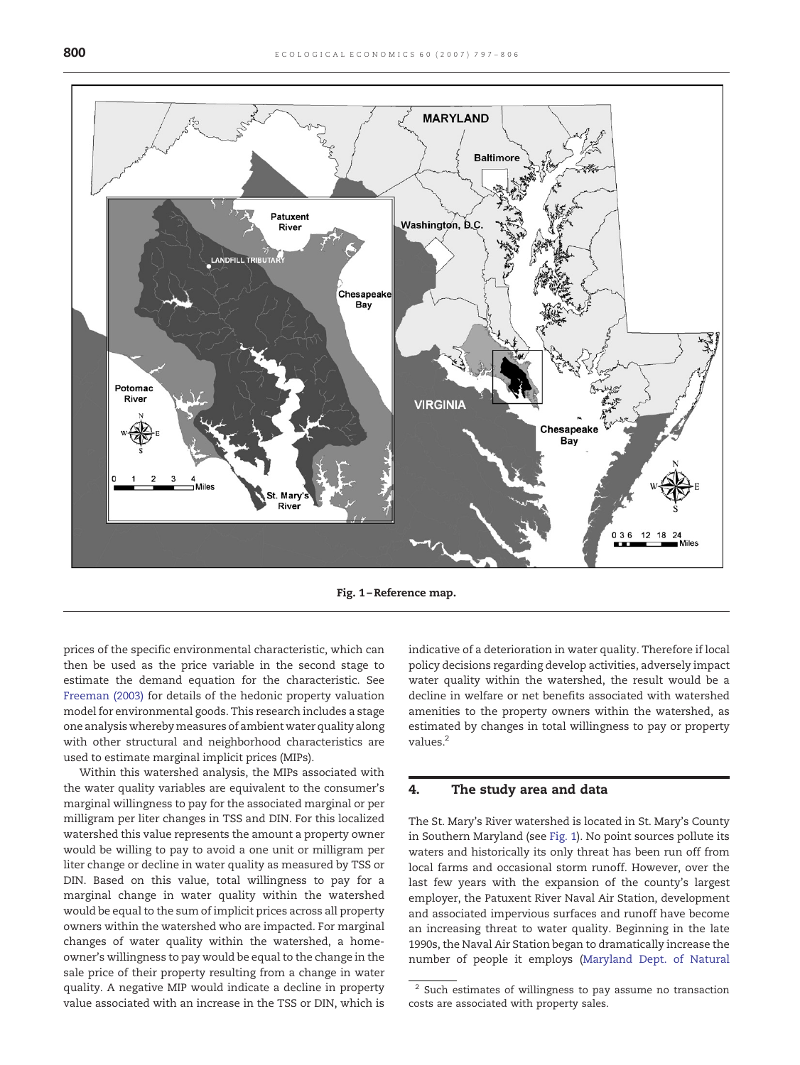<span id="page-3-0"></span>

Fig. 1 – Reference map.

prices of the specific environmental characteristic, which can then be used as the price variable in the second stage to estimate the demand equation for the characteristic. See [Freeman \(2003\)](#page-9-0) for details of the hedonic property valuation model for environmental goods. This research includes a stage one analysis wherebymeasures of ambient water quality along with other structural and neighborhood characteristics are used to estimate marginal implicit prices (MIPs).

Within this watershed analysis, the MIPs associated with the water quality variables are equivalent to the consumer's marginal willingness to pay for the associated marginal or per milligram per liter changes in TSS and DIN. For this localized watershed this value represents the amount a property owner would be willing to pay to avoid a one unit or milligram per liter change or decline in water quality as measured by TSS or DIN. Based on this value, total willingness to pay for a marginal change in water quality within the watershed would be equal to the sum of implicit prices across all property owners within the watershed who are impacted. For marginal changes of water quality within the watershed, a homeowner's willingness to pay would be equal to the change in the sale price of their property resulting from a change in water quality. A negative MIP would indicate a decline in property value associated with an increase in the TSS or DIN, which is

indicative of a deterioration in water quality. Therefore if local policy decisions regarding develop activities, adversely impact water quality within the watershed, the result would be a decline in welfare or net benefits associated with watershed amenities to the property owners within the watershed, as estimated by changes in total willingness to pay or property values.<sup>2</sup>

#### 4. The study area and data

The St. Mary's River watershed is located in St. Mary's County in Southern Maryland (see Fig. 1). No point sources pollute its waters and historically its only threat has been run off from local farms and occasional storm runoff. However, over the last few years with the expansion of the county's largest employer, the Patuxent River Naval Air Station, development and associated impervious surfaces and runoff have become an increasing threat to water quality. Beginning in the late 1990s, the Naval Air Station began to dramatically increase the number of people it employs [\(Maryland Dept. of Natural](#page-9-0)

<sup>2</sup> Such estimates of willingness to pay assume no transaction costs are associated with property sales.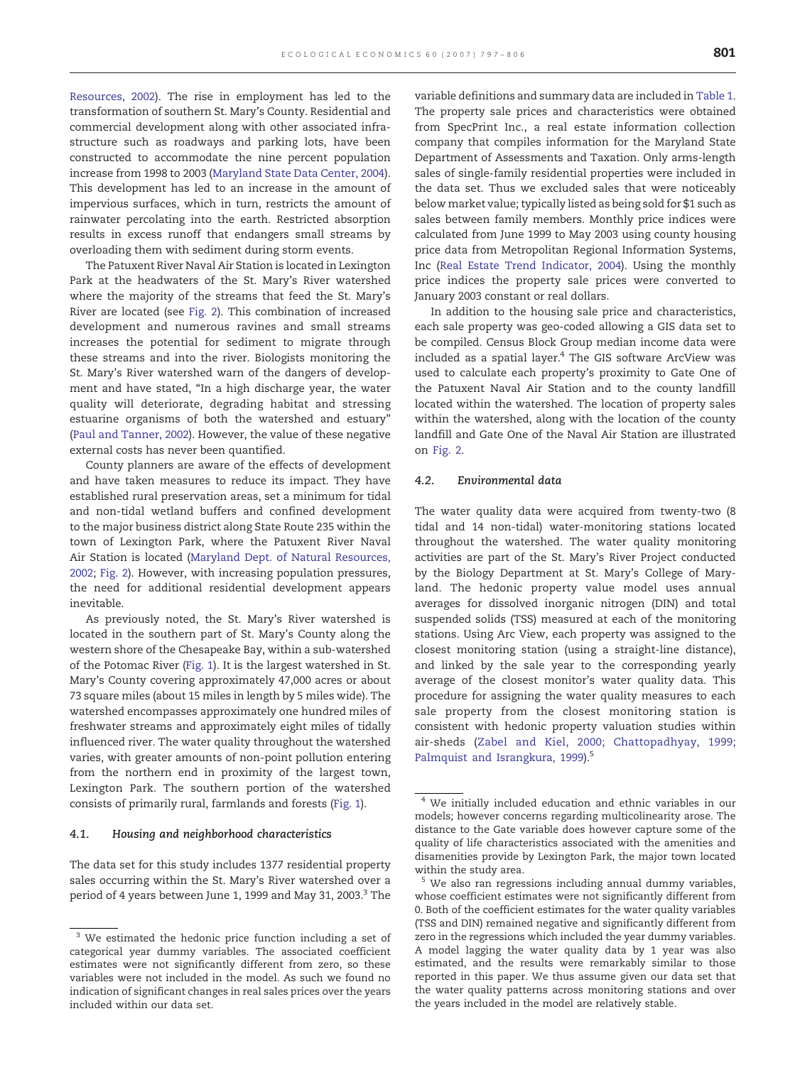[Resources, 2002](#page-9-0)). The rise in employment has led to the transformation of southern St. Mary's County. Residential and commercial development along with other associated infrastructure such as roadways and parking lots, have been constructed to accommodate the nine percent population increase from 1998 to 2003 [\(Maryland State Data Center, 2004](#page-9-0)). This development has led to an increase in the amount of impervious surfaces, which in turn, restricts the amount of rainwater percolating into the earth. Restricted absorption results in excess runoff that endangers small streams by overloading them with sediment during storm events.

The Patuxent River Naval Air Station is located in Lexington Park at the headwaters of the St. Mary's River watershed where the majority of the streams that feed the St. Mary's River are located (see [Fig. 2\)](#page-5-0). This combination of increased development and numerous ravines and small streams increases the potential for sediment to migrate through these streams and into the river. Biologists monitoring the St. Mary's River watershed warn of the dangers of development and have stated, "In a high discharge year, the water quality will deteriorate, degrading habitat and stressing estuarine organisms of both the watershed and estuary" [\(Paul and Tanner, 2002\)](#page-9-0). However, the value of these negative external costs has never been quantified.

County planners are aware of the effects of development and have taken measures to reduce its impact. They have established rural preservation areas, set a minimum for tidal and non-tidal wetland buffers and confined development to the major business district along State Route 235 within the town of Lexington Park, where the Patuxent River Naval Air Station is located ([Maryland Dept. of Natural Resources,](#page-9-0) [2002](#page-9-0); [Fig. 2](#page-5-0)). However, with increasing population pressures, the need for additional residential development appears inevitable.

As previously noted, the St. Mary's River watershed is located in the southern part of St. Mary's County along the western shore of the Chesapeake Bay, within a sub-watershed of the Potomac River [\(Fig. 1\)](#page-3-0). It is the largest watershed in St. Mary's County covering approximately 47,000 acres or about 73 square miles (about 15 miles in length by 5 miles wide). The watershed encompasses approximately one hundred miles of freshwater streams and approximately eight miles of tidally influenced river. The water quality throughout the watershed varies, with greater amounts of non-point pollution entering from the northern end in proximity of the largest town, Lexington Park. The southern portion of the watershed consists of primarily rural, farmlands and forests [\(Fig. 1\)](#page-3-0).

#### 4.1. Housing and neighborhood characteristics

The data set for this study includes 1377 residential property sales occurring within the St. Mary's River watershed over a period of 4 years between June 1, 1999 and May 31, 2003.<sup>3</sup> The

variable definitions and summary data are included in [Table 1.](#page-6-0) The property sale prices and characteristics were obtained from SpecPrint Inc., a real estate information collection company that compiles information for the Maryland State Department of Assessments and Taxation. Only arms-length sales of single-family residential properties were included in the data set. Thus we excluded sales that were noticeably below market value; typically listed as being sold for \$1 such as sales between family members. Monthly price indices were calculated from June 1999 to May 2003 using county housing price data from Metropolitan Regional Information Systems, Inc ([Real Estate Trend Indicator, 2004\)](#page-9-0). Using the monthly price indices the property sale prices were converted to January 2003 constant or real dollars.

In addition to the housing sale price and characteristics, each sale property was geo-coded allowing a GIS data set to be compiled. Census Block Group median income data were included as a spatial layer.<sup>4</sup> The GIS software ArcView was used to calculate each property's proximity to Gate One of the Patuxent Naval Air Station and to the county landfill located within the watershed. The location of property sales within the watershed, along with the location of the county landfill and Gate One of the Naval Air Station are illustrated on [Fig. 2.](#page-5-0)

#### 4.2. Environmental data

The water quality data were acquired from twenty-two (8 tidal and 14 non-tidal) water-monitoring stations located throughout the watershed. The water quality monitoring activities are part of the St. Mary's River Project conducted by the Biology Department at St. Mary's College of Maryland. The hedonic property value model uses annual averages for dissolved inorganic nitrogen (DIN) and total suspended solids (TSS) measured at each of the monitoring stations. Using Arc View, each property was assigned to the closest monitoring station (using a straight-line distance), and linked by the sale year to the corresponding yearly average of the closest monitor's water quality data. This procedure for assigning the water quality measures to each sale property from the closest monitoring station is consistent with hedonic property valuation studies within air-sheds ([Zabel and Kiel, 2000; Chattopadhyay, 1999;](#page-9-0) [Palmquist and Israngkura, 1999\)](#page-9-0).<sup>5</sup>

<sup>&</sup>lt;sup>3</sup> We estimated the hedonic price function including a set of categorical year dummy variables. The associated coefficient estimates were not significantly different from zero, so these variables were not included in the model. As such we found no indication of significant changes in real sales prices over the years included within our data set.

<sup>4</sup> We initially included education and ethnic variables in our models; however concerns regarding multicolinearity arose. The distance to the Gate variable does however capture some of the quality of life characteristics associated with the amenities and disamenities provide by Lexington Park, the major town located within the study area.

We also ran regressions including annual dummy variables, whose coefficient estimates were not significantly different from 0. Both of the coefficient estimates for the water quality variables (TSS and DIN) remained negative and significantly different from zero in the regressions which included the year dummy variables. A model lagging the water quality data by 1 year was also estimated, and the results were remarkably similar to those reported in this paper. We thus assume given our data set that the water quality patterns across monitoring stations and over the years included in the model are relatively stable.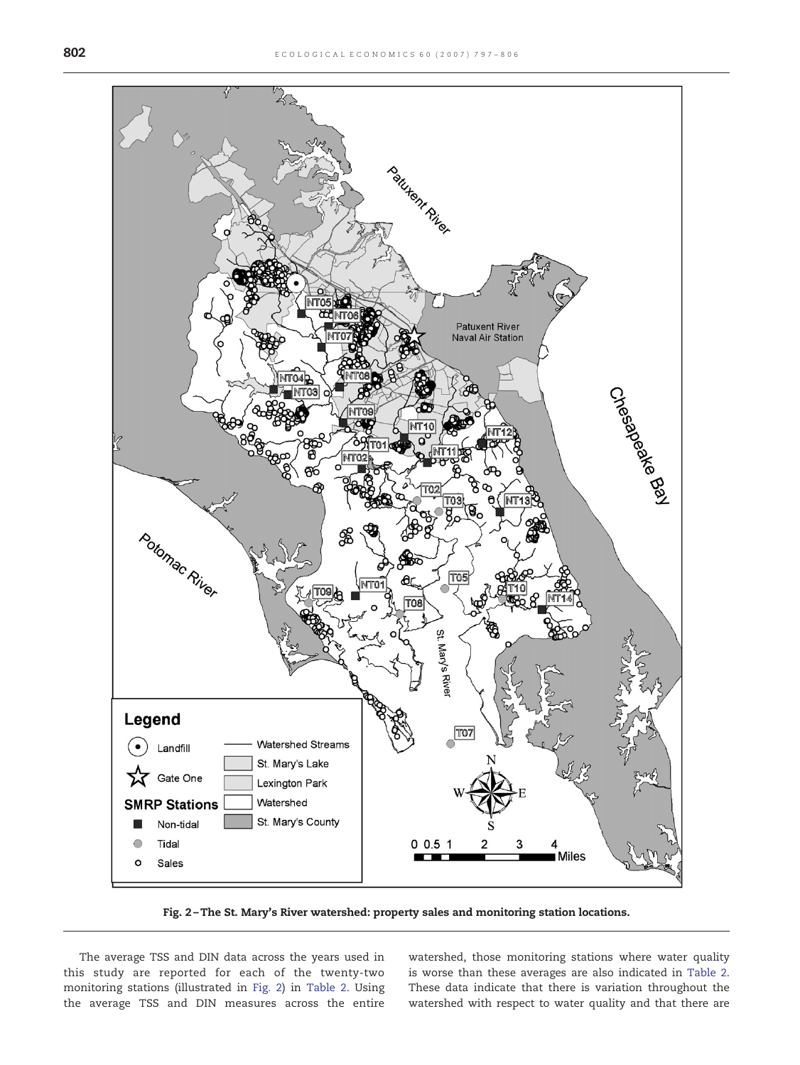<span id="page-5-0"></span>

Fig. 2 –The St. Mary's River watershed: property sales and monitoring station locations.

The average TSS and DIN data across the years used in this study are reported for each of the twenty-two monitoring stations (illustrated in Fig. 2) in [Table 2](#page-6-0). Using the average TSS and DIN measures across the entire watershed, those monitoring stations where water quality is worse than these averages are also indicated in [Table 2](#page-6-0). These data indicate that there is variation throughout the watershed with respect to water quality and that there are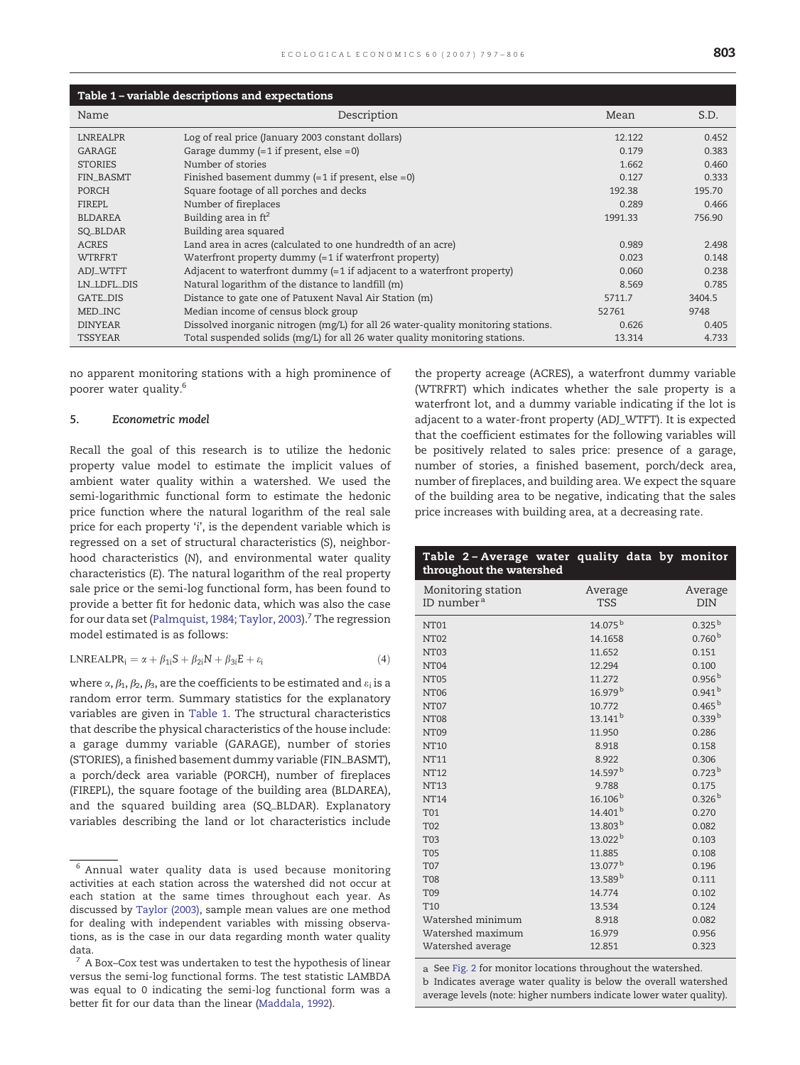<span id="page-6-0"></span>

| Table 1 – variable descriptions and expectations |                                                                                   |         |        |  |  |  |
|--------------------------------------------------|-----------------------------------------------------------------------------------|---------|--------|--|--|--|
| Name                                             | Description                                                                       | Mean    | S.D.   |  |  |  |
| LNREALPR                                         | Log of real price (January 2003 constant dollars)                                 | 12.122  | 0.452  |  |  |  |
| GARAGE                                           | Garage dummy $(=1$ if present, else $=0$ )                                        | 0.179   | 0.383  |  |  |  |
| <b>STORIES</b>                                   | Number of stories                                                                 | 1.662   | 0.460  |  |  |  |
| FIN_BASMT                                        | Finished basement dummy $(=1$ if present, else $=0$ )                             | 0.127   | 0.333  |  |  |  |
| PORCH                                            | Square footage of all porches and decks                                           | 192.38  | 195.70 |  |  |  |
| FIREPL                                           | Number of fireplaces                                                              | 0.289   | 0.466  |  |  |  |
| <b>BLDAREA</b>                                   | Building area in $ft^2$                                                           | 1991.33 | 756.90 |  |  |  |
| SQ_BLDAR                                         | Building area squared                                                             |         |        |  |  |  |
| <b>ACRES</b>                                     | Land area in acres (calculated to one hundredth of an acre)                       | 0.989   | 2.498  |  |  |  |
| <b>WTRFRT</b>                                    | Waterfront property dummy (=1 if waterfront property)                             | 0.023   | 0.148  |  |  |  |
| ADJ_WTFT                                         | Adjacent to waterfront dummy $(=1$ if adjacent to a waterfront property)          | 0.060   | 0.238  |  |  |  |
| LN_LDFL_DIS                                      | Natural logarithm of the distance to landfill (m)                                 | 8.569   | 0.785  |  |  |  |
| GATE_DIS                                         | Distance to gate one of Patuxent Naval Air Station (m)                            | 5711.7  | 3404.5 |  |  |  |
| MED_INC                                          | Median income of census block group                                               | 52761   | 9748   |  |  |  |
| <b>DINYEAR</b>                                   | Dissolved inorganic nitrogen (mg/L) for all 26 water-quality monitoring stations. | 0.626   | 0.405  |  |  |  |
| <b>TSSYEAR</b>                                   | Total suspended solids (mg/L) for all 26 water quality monitoring stations.       | 13.314  | 4.733  |  |  |  |

no apparent monitoring stations with a high prominence of poorer water quality.6

#### 5. Econometric model

Recall the goal of this research is to utilize the hedonic property value model to estimate the implicit values of ambient water quality within a watershed. We used the semi-logarithmic functional form to estimate the hedonic price function where the natural logarithm of the real sale price for each property 'i', is the dependent variable which is regressed on a set of structural characteristics (S), neighborhood characteristics (N), and environmental water quality characteristics (E). The natural logarithm of the real property sale price or the semi-log functional form, has been found to provide a better fit for hedonic data, which was also the case for our data set ([Palmquist, 1984; Taylor, 2003\)](#page-9-0).<sup>7</sup> The regression model estimated is as follows:

$$
LNREALPR_i = \alpha + \beta_{1i}S + \beta_{2i}N + \beta_{3i}E + \varepsilon_i
$$
\n(4)

where  $\alpha$ ,  $\beta_1$ ,  $\beta_2$ ,  $\beta_3$ , are the coefficients to be estimated and  $\varepsilon_i$  is a random error term. Summary statistics for the explanatory variables are given in Table 1. The structural characteristics that describe the physical characteristics of the house include: a garage dummy variable (GARAGE), number of stories (STORIES), a finished basement dummy variable (FIN\_BASMT), a porch/deck area variable (PORCH), number of fireplaces (FIREPL), the square footage of the building area (BLDAREA), and the squared building area (SQ\_BLDAR). Explanatory variables describing the land or lot characteristics include

the property acreage (ACRES), a waterfront dummy variable (WTRFRT) which indicates whether the sale property is a waterfront lot, and a dummy variable indicating if the lot is adjacent to a water-front property (ADJ\_WTFT). It is expected that the coefficient estimates for the following variables will be positively related to sales price: presence of a garage, number of stories, a finished basement, porch/deck area, number of fireplaces, and building area. We expect the square of the building area to be negative, indicating that the sales price increases with building area, at a decreasing rate.

| Table 2-Average water quality data by monitor<br>throughout the watershed |                     |                    |
|---------------------------------------------------------------------------|---------------------|--------------------|
| Monitoring station                                                        | Average             | Average            |
| ID number <sup>a</sup>                                                    | <b>TSS</b>          | <b>DIN</b>         |
| NT <sub>01</sub>                                                          | 14.075 <sup>b</sup> | $0.325^{b}$        |
| <b>NT02</b>                                                               | 14.1658             | 0.760 <sup>b</sup> |
| <b>NT03</b>                                                               | 11.652              | 0.151              |
| NT <sub>04</sub>                                                          | 12.294              | 0.100              |
| NT <sub>05</sub>                                                          | 11.272              | 0.956 <sup>b</sup> |
| NT <sub>06</sub>                                                          | 16.979 <sup>b</sup> | 0.941 <sup>b</sup> |
| NT07                                                                      | 10.772              | $0.465^{b}$        |
| NT <sub>08</sub>                                                          | $13.141^{b}$        | 0.339 <sup>b</sup> |
| <b>NT09</b>                                                               | 11.950              | 0.286              |
| <b>NT10</b>                                                               | 8.918               | 0.158              |
| <b>NT11</b>                                                               | 8.922               | 0.306              |
| <b>NT12</b>                                                               | 14.597 <sup>b</sup> | 0.723 <sup>b</sup> |
| <b>NT13</b>                                                               | 9.788               | 0.175              |
| <b>NT14</b>                                                               | $16.106^{b}$        | 0.326 <sup>b</sup> |
| T01                                                                       | 14.401 <sup>b</sup> | 0.270              |
| T <sub>02</sub>                                                           | 13.803 <sup>b</sup> | 0.082              |
| T <sub>03</sub>                                                           | $13.022^{b}$        | 0.103              |
| T05                                                                       | 11.885              | 0.108              |
| T07                                                                       | 13.077 <sup>b</sup> | 0.196              |
| <b>T08</b>                                                                | 13.589 <sup>b</sup> | 0.111              |
| T <sub>09</sub>                                                           | 14.774              | 0.102              |
| T <sub>10</sub>                                                           | 13.534              | 0.124              |
| Watershed minimum                                                         | 8.918               | 0.082              |
| Watershed maximum                                                         | 16.979              | 0.956              |
| Watershed average                                                         | 12.851              | 0.323              |

a See [Fig. 2](#page-5-0) for monitor locations throughout the watershed. b Indicates average water quality is below the overall watershed average levels (note: higher numbers indicate lower water quality).

 $^6$  Annual water quality data is used because monitoring activities at each station across the watershed did not occur at each station at the same times throughout each year. As discussed by [Taylor \(2003\),](#page-9-0) sample mean values are one method for dealing with independent variables with missing observations, as is the case in our data regarding month water quality data.

 $'$  A Box–Cox test was undertaken to test the hypothesis of linear versus the semi-log functional forms. The test statistic LAMBDA was equal to 0 indicating the semi-log functional form was a better fit for our data than the linear ([Maddala, 1992](#page-9-0)).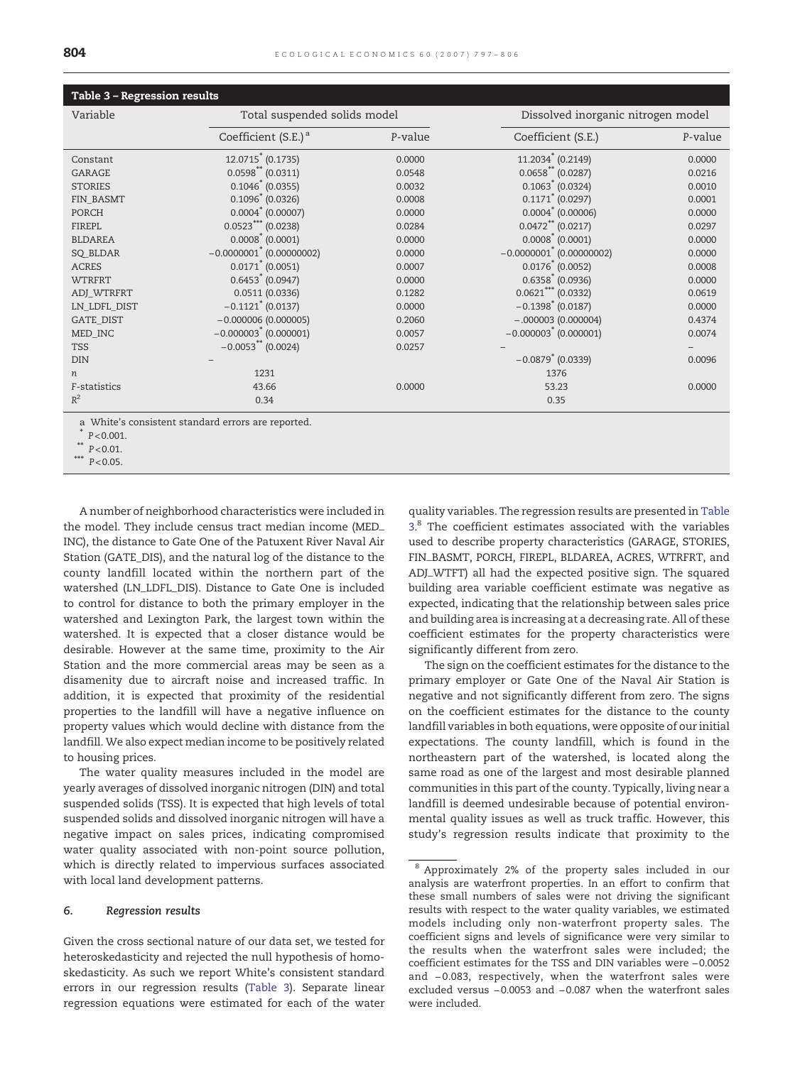<span id="page-7-0"></span>

| Table 3 - Regression results             |                                     |         |                                     |                                    |  |  |  |
|------------------------------------------|-------------------------------------|---------|-------------------------------------|------------------------------------|--|--|--|
| Variable                                 | Total suspended solids model        |         |                                     | Dissolved inorganic nitrogen model |  |  |  |
|                                          | Coefficient $(S.E.)^a$              | P-value | Coefficient (S.E.)                  | P-value                            |  |  |  |
| Constant                                 | 12.0715 (0.1735)                    | 0.0000  | 11.2034 (0.2149)                    | 0.0000                             |  |  |  |
| <b>GARAGE</b>                            | $0.0598$ (0.0311)                   | 0.0548  | $0.0658$ (0.0287)                   | 0.0216                             |  |  |  |
| <b>STORIES</b>                           | $0.1046^* (0.0355)$                 | 0.0032  | $0.1063$ (0.0324)                   | 0.0010                             |  |  |  |
| FIN_BASMT                                | $0.1096^* (0.0326)$                 | 0.0008  | $0.1171$ (0.0297)                   | 0.0001                             |  |  |  |
| PORCH                                    | $0.0004^*$ (0.00007)                | 0.0000  | $0.0004^*$ (0.00006)                | 0.0000                             |  |  |  |
| <b>FIREPL</b>                            | $0.0523***$ (0.0238)                | 0.0284  | $0.0472$ <sup>**</sup> (0.0217)     | 0.0297                             |  |  |  |
| <b>BLDAREA</b>                           | $0.0008^*$ (0.0001)                 | 0.0000  | $0.0008^*$ (0.0001)                 | 0.0000                             |  |  |  |
| SQ_BLDAR                                 | $-0.0000001^*$ (0.00000002)         | 0.0000  | $-0.0000001^*$ (0.00000002)         | 0.0000                             |  |  |  |
| <b>ACRES</b>                             | $0.0171^* (0.0051)$                 | 0.0007  | $0.0176^* (0.0052)$                 | 0.0008                             |  |  |  |
| <b>WTRFRT</b>                            | $0.6453$ (0.0947)                   | 0.0000  | $0.6358^*$ (0.0936)                 | 0.0000                             |  |  |  |
| ADJ_WTRFRT                               | 0.0511(0.0336)                      | 0.1282  | $0.0621***$ (0.0332)                | 0.0619                             |  |  |  |
| LN_LDFL_DIST                             | $-0.1121$ <sup>*</sup> (0.0137)     | 0.0000  | $-0.1398$ (0.0187)                  | 0.0000                             |  |  |  |
| GATE_DIST                                | $-0.000006(0.000005)$               | 0.2060  | $-.000003(0.000004)$                | 0.4374                             |  |  |  |
| MED_INC                                  | $-0.000003$ <sup>*</sup> (0.000001) | 0.0057  | $-0.000003$ <sup>*</sup> (0.000001) | 0.0074                             |  |  |  |
| <b>TSS</b>                               | $-0.0053$ <sup>**</sup> (0.0024)    | 0.0257  |                                     |                                    |  |  |  |
| <b>DIN</b>                               |                                     |         | $-0.0879$ <sup>*</sup> (0.0339)     | 0.0096                             |  |  |  |
| n                                        | 1231                                |         | 1376                                |                                    |  |  |  |
| F-statistics                             | 43.66                               | 0.0000  | 53.23                               | 0.0000                             |  |  |  |
| $R^2$                                    | 0.34                                |         | 0.35                                |                                    |  |  |  |
| a titled and considered and dead company |                                     |         |                                     |                                    |  |  |  |

a White's consistent standard errors are reported.

 $P < 0.001$ .

 $P < 0.01$ .

\*\*\*  $P < 0.05$ .

A number of neighborhood characteristics were included in the model. They include census tract median income (MED\_ INC), the distance to Gate One of the Patuxent River Naval Air Station (GATE\_DIS), and the natural log of the distance to the county landfill located within the northern part of the watershed (LN\_LDFL\_DIS). Distance to Gate One is included to control for distance to both the primary employer in the watershed and Lexington Park, the largest town within the watershed. It is expected that a closer distance would be desirable. However at the same time, proximity to the Air Station and the more commercial areas may be seen as a disamenity due to aircraft noise and increased traffic. In addition, it is expected that proximity of the residential properties to the landfill will have a negative influence on property values which would decline with distance from the landfill. We also expect median income to be positively related to housing prices.

The water quality measures included in the model are yearly averages of dissolved inorganic nitrogen (DIN) and total suspended solids (TSS). It is expected that high levels of total suspended solids and dissolved inorganic nitrogen will have a negative impact on sales prices, indicating compromised water quality associated with non-point source pollution, which is directly related to impervious surfaces associated with local land development patterns.

#### 6. Regression results

Given the cross sectional nature of our data set, we tested for heteroskedasticity and rejected the null hypothesis of homoskedasticity. As such we report White's consistent standard errors in our regression results (Table 3). Separate linear regression equations were estimated for each of the water quality variables. The regression results are presented in Table 3. <sup>8</sup> The coefficient estimates associated with the variables used to describe property characteristics (GARAGE, STORIES, FIN\_BASMT, PORCH, FIREPL, BLDAREA, ACRES, WTRFRT, and ADJ\_WTFT) all had the expected positive sign. The squared building area variable coefficient estimate was negative as expected, indicating that the relationship between sales price and building area is increasing at a decreasing rate. All of these coefficient estimates for the property characteristics were significantly different from zero.

The sign on the coefficient estimates for the distance to the primary employer or Gate One of the Naval Air Station is negative and not significantly different from zero. The signs on the coefficient estimates for the distance to the county landfill variables in both equations, were opposite of our initial expectations. The county landfill, which is found in the northeastern part of the watershed, is located along the same road as one of the largest and most desirable planned communities in this part of the county. Typically, living near a landfill is deemed undesirable because of potential environmental quality issues as well as truck traffic. However, this study's regression results indicate that proximity to the

<sup>8</sup> Approximately 2% of the property sales included in our analysis are waterfront properties. In an effort to confirm that these small numbers of sales were not driving the significant results with respect to the water quality variables, we estimated models including only non-waterfront property sales. The coefficient signs and levels of significance were very similar to the results when the waterfront sales were included; the coefficient estimates for the TSS and DIN variables were −0.0052 and −0.083, respectively, when the waterfront sales were excluded versus −0.0053 and −0.087 when the waterfront sales were included.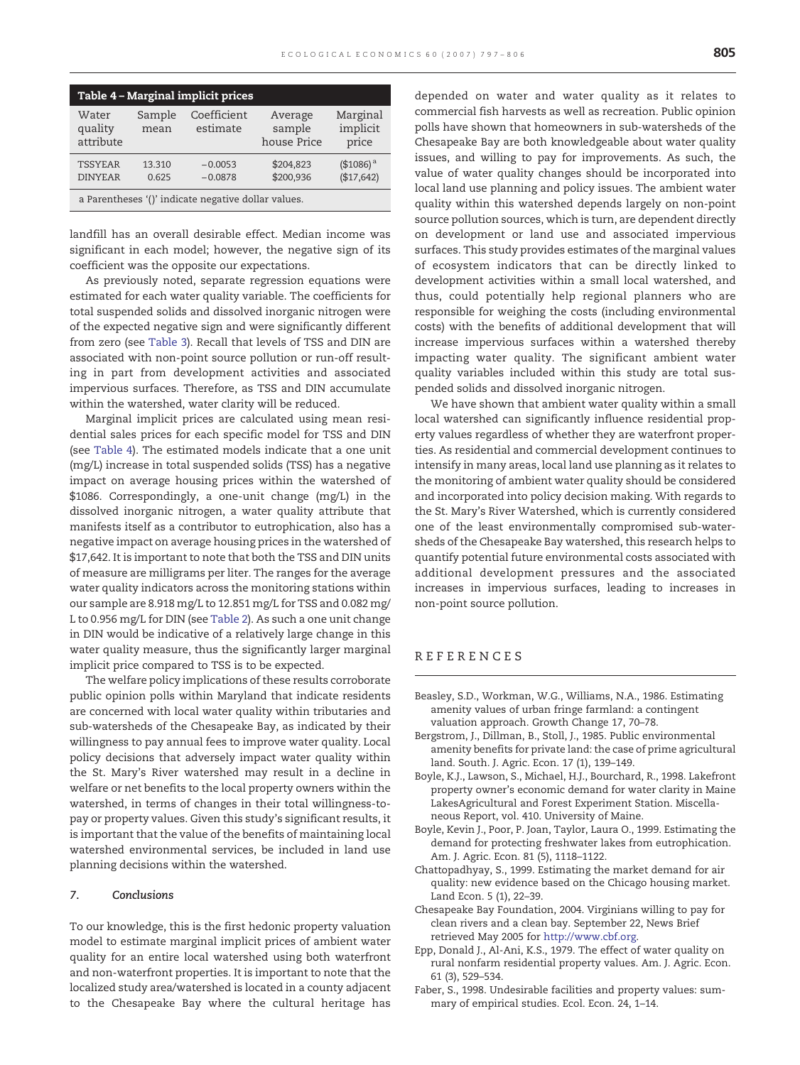<span id="page-8-0"></span>

| Table 4 - Marginal implicit prices                  |                 |                         |                                  |                                    |  |  |  |
|-----------------------------------------------------|-----------------|-------------------------|----------------------------------|------------------------------------|--|--|--|
| Water<br>quality<br>attribute                       | Sample<br>mean  | Coefficient<br>estimate | Average<br>sample<br>house Price | Marginal<br>implicit<br>price      |  |  |  |
| <b>TSSYEAR</b><br><b>DINYEAR</b>                    | 13.310<br>0.625 | $-0.0053$<br>$-0.0878$  | \$204,823<br>\$200,936           | $$1086$ <sup>a</sup><br>(\$17,642) |  |  |  |
| a Parentheses '()' indicate negative dollar values. |                 |                         |                                  |                                    |  |  |  |

landfill has an overall desirable effect. Median income was significant in each model; however, the negative sign of its coefficient was the opposite our expectations.

As previously noted, separate regression equations were estimated for each water quality variable. The coefficients for total suspended solids and dissolved inorganic nitrogen were of the expected negative sign and were significantly different from zero (see [Table 3](#page-7-0)). Recall that levels of TSS and DIN are associated with non-point source pollution or run-off resulting in part from development activities and associated impervious surfaces. Therefore, as TSS and DIN accumulate within the watershed, water clarity will be reduced.

Marginal implicit prices are calculated using mean residential sales prices for each specific model for TSS and DIN (see Table 4). The estimated models indicate that a one unit (mg/L) increase in total suspended solids (TSS) has a negative impact on average housing prices within the watershed of \$1086. Correspondingly, a one-unit change (mg/L) in the dissolved inorganic nitrogen, a water quality attribute that manifests itself as a contributor to eutrophication, also has a negative impact on average housing prices in the watershed of \$17,642. It is important to note that both the TSS and DIN units of measure are milligrams per liter. The ranges for the average water quality indicators across the monitoring stations within our sample are 8.918 mg/L to 12.851 mg/L for TSS and 0.082 mg/ L to 0.956 mg/L for DIN (see [Table 2](#page-6-0)). As such a one unit change in DIN would be indicative of a relatively large change in this water quality measure, thus the significantly larger marginal implicit price compared to TSS is to be expected.

The welfare policy implications of these results corroborate public opinion polls within Maryland that indicate residents are concerned with local water quality within tributaries and sub-watersheds of the Chesapeake Bay, as indicated by their willingness to pay annual fees to improve water quality. Local policy decisions that adversely impact water quality within the St. Mary's River watershed may result in a decline in welfare or net benefits to the local property owners within the watershed, in terms of changes in their total willingness-topay or property values. Given this study's significant results, it is important that the value of the benefits of maintaining local watershed environmental services, be included in land use planning decisions within the watershed.

#### 7. Conclusions

To our knowledge, this is the first hedonic property valuation model to estimate marginal implicit prices of ambient water quality for an entire local watershed using both waterfront and non-waterfront properties. It is important to note that the localized study area/watershed is located in a county adjacent to the Chesapeake Bay where the cultural heritage has

depended on water and water quality as it relates to commercial fish harvests as well as recreation. Public opinion polls have shown that homeowners in sub-watersheds of the Chesapeake Bay are both knowledgeable about water quality issues, and willing to pay for improvements. As such, the value of water quality changes should be incorporated into local land use planning and policy issues. The ambient water quality within this watershed depends largely on non-point source pollution sources, which is turn, are dependent directly on development or land use and associated impervious surfaces. This study provides estimates of the marginal values of ecosystem indicators that can be directly linked to development activities within a small local watershed, and thus, could potentially help regional planners who are responsible for weighing the costs (including environmental costs) with the benefits of additional development that will increase impervious surfaces within a watershed thereby impacting water quality. The significant ambient water quality variables included within this study are total suspended solids and dissolved inorganic nitrogen.

We have shown that ambient water quality within a small local watershed can significantly influence residential property values regardless of whether they are waterfront properties. As residential and commercial development continues to intensify in many areas, local land use planning as it relates to the monitoring of ambient water quality should be considered and incorporated into policy decision making. With regards to the St. Mary's River Watershed, which is currently considered one of the least environmentally compromised sub-watersheds of the Chesapeake Bay watershed, this research helps to quantify potential future environmental costs associated with additional development pressures and the associated increases in impervious surfaces, leading to increases in non-point source pollution.

#### REFERENCES

- Beasley, S.D., Workman, W.G., Williams, N.A., 1986. Estimating amenity values of urban fringe farmland: a contingent valuation approach. Growth Change 17, 70–78.
- Bergstrom, J., Dillman, B., Stoll, J., 1985. Public environmental amenity benefits for private land: the case of prime agricultural land. South. J. Agric. Econ. 17 (1), 139–149.
- Boyle, K.J., Lawson, S., Michael, H.J., Bourchard, R., 1998. Lakefront property owner's economic demand for water clarity in Maine LakesAgricultural and Forest Experiment Station. Miscellaneous Report, vol. 410. University of Maine.
- Boyle, Kevin J., Poor, P. Joan, Taylor, Laura O., 1999. Estimating the demand for protecting freshwater lakes from eutrophication. Am. J. Agric. Econ. 81 (5), 1118–1122.
- Chattopadhyay, S., 1999. Estimating the market demand for air quality: new evidence based on the Chicago housing market. Land Econ. 5 (1), 22–39.
- Chesapeake Bay Foundation, 2004. Virginians willing to pay for clean rivers and a clean bay. September 22, News Brief retrieved May 2005 for [http://www.cbf.org.](http://www.cbf.org)
- Epp, Donald J., Al-Ani, K.S., 1979. The effect of water quality on rural nonfarm residential property values. Am. J. Agric. Econ. 61 (3), 529–534.
- Faber, S., 1998. Undesirable facilities and property values: summary of empirical studies. Ecol. Econ. 24, 1–14.